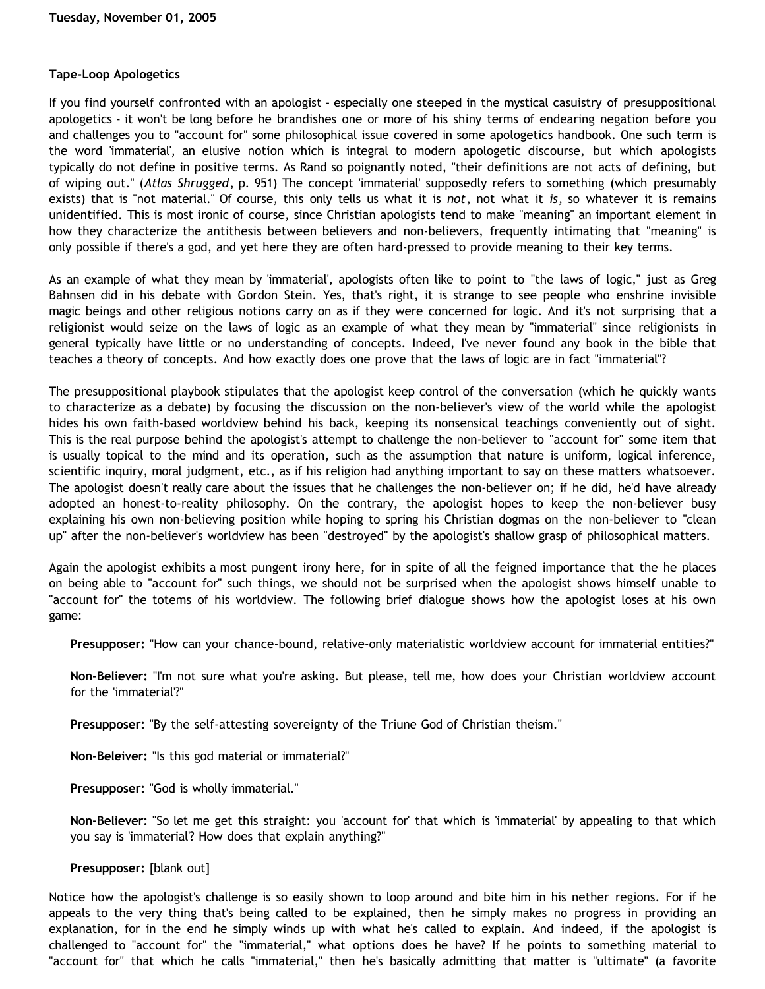## **Tape-Loop Apologetics**

If you find yourself confronted with an apologist - especially one steeped in the mystical casuistry of presuppositional apologetics - it won't be long before he brandishes one or more of his shiny terms of endearing negation before you and challenges you to "account for" some philosophical issue covered in some apologetics handbook. One such term is the word 'immaterial', an elusive notion which is integral to modern apologetic discourse, but which apologists typically do not define in positive terms. As Rand so poignantly noted, "their definitions are not acts of defining, but of wiping out." (*Atlas Shrugged*, p. 951) The concept 'immaterial' supposedly refers to something (which presumably exists) that is "not material." Of course, this only tells us what it is *not*, not what it *is*, so whatever it is remains unidentified. This is most ironic of course, since Christian apologists tend to make "meaning" an important element in how they characterize the antithesis between believers and non-believers, frequently intimating that "meaning" is only possible if there's a god, and yet here they are often hard-pressed to provide meaning to their key terms.

As an example of what they mean by 'immaterial', apologists often like to point to "the laws of logic," just as Greg Bahnsen did in his debate with Gordon Stein. Yes, that's right, it is strange to see people who enshrine invisible magic beings and other religious notions carry on as if they were concerned for logic. And it's not surprising that a religionist would seize on the laws of logic as an example of what they mean by "immaterial" since religionists in general typically have little or no understanding of concepts. Indeed, I've never found any book in the bible that teaches a theory of concepts. And how exactly does one prove that the laws of logic are in fact "immaterial"?

The presuppositional playbook stipulates that the apologist keep control of the conversation (which he quickly wants to characterize as a debate) by focusing the discussion on the non-believer's view of the world while the apologist hides his own faith-based worldview behind his back, keeping its nonsensical teachings conveniently out of sight. This is the real purpose behind the apologist's attempt to challenge the non-believer to "account for" some item that is usually topical to the mind and its operation, such as the assumption that nature is uniform, logical inference, scientific inquiry, moral judgment, etc., as if his religion had anything important to say on these matters whatsoever. The apologist doesn't really care about the issues that he challenges the non-believer on; if he did, he'd have already adopted an honest-to-reality philosophy. On the contrary, the apologist hopes to keep the non-believer busy explaining his own non-believing position while hoping to spring his Christian dogmas on the non-believer to "clean up" after the non-believer's worldview has been "destroyed" by the apologist's shallow grasp of philosophical matters.

Again the apologist exhibits a most pungent irony here, for in spite of all the feigned importance that the he places on being able to "account for" such things, we should not be surprised when the apologist shows himself unable to "account for" the totems of his worldview. The following brief dialogue shows how the apologist loses at his own game:

**Presupposer:** "How can your chance-bound, relative-only materialistic worldview account for immaterial entities?"

**Non-Believer:** "I'm not sure what you're asking. But please, tell me, how does your Christian worldview account for the 'immaterial'?"

**Presupposer:** "By the self-attesting sovereignty of the Triune God of Christian theism."

**Non-Beleiver:** "Is this god material or immaterial?"

**Presupposer:** "God is wholly immaterial."

**Non-Believer:** "So let me get this straight: you 'account for' that which is 'immaterial' by appealing to that which you say is 'immaterial'? How does that explain anything?"

## **Presupposer:** [blank out]

Notice how the apologist's challenge is so easily shown to loop around and bite him in his nether regions. For if he appeals to the very thing that's being called to be explained, then he simply makes no progress in providing an explanation, for in the end he simply winds up with what he's called to explain. And indeed, if the apologist is challenged to "account for" the "immaterial," what options does he have? If he points to something material to "account for" that which he calls "immaterial," then he's basically admitting that matter is "ultimate" (a favorite